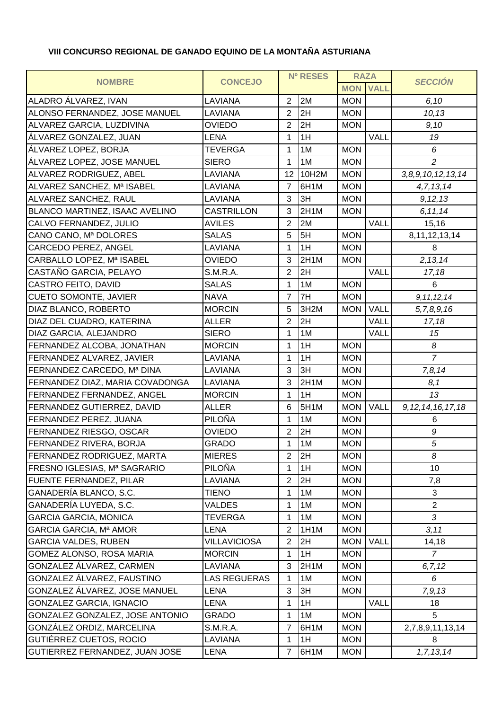## **VIII CONCURSO REGIONAL DE GANADO EQUINO DE LA MONTAÑA ASTURIANA**

| <b>MON</b><br><b>VALL</b><br>2M<br>LAVIANA<br>$\overline{2}$<br><b>MON</b><br>6,10<br>2H<br>LAVIANA<br>$\overline{2}$<br><b>MON</b><br>10, 13<br>$\overline{2}$<br><b>OVIEDO</b><br>2H<br><b>MON</b><br>9,10<br>VALL<br>1H<br><b>LENA</b><br>19<br>1<br><b>MON</b><br><b>TEVERGA</b><br>1<br>1M<br>6<br>$\overline{c}$<br><b>SIERO</b><br>1M<br><b>MON</b><br>$\mathbf 1$<br>LAVIANA<br>12<br>10H2M<br><b>MON</b><br>3, 8, 9, 10, 12, 13, 14<br>LAVIANA<br>$\overline{7}$<br>6H1M<br><b>MON</b><br>4, 7, 13, 14<br>3H<br>LAVIANA<br><b>MON</b><br>3<br>9, 12, 13<br>CASTRILLON<br>3<br>2H1M<br><b>MON</b><br>6, 11, 14<br>2M<br>VALL<br><b>AVILES</b><br>$\overline{2}$<br>15,16<br>5H<br><b>MON</b><br><b>SALAS</b><br>8, 11, 12, 13, 14<br>5<br>1H<br>LAVIANA<br>1<br><b>MON</b><br>8<br>2, 13, 14<br><b>OVIEDO</b><br>2H1M<br>3<br><b>MON</b><br>$\overline{2}$<br>VALL<br>S.M.R.A.<br>2H<br>17,18<br>1M<br><b>SALAS</b><br>1<br><b>MON</b><br>6<br>$\overline{7}$<br>7H<br><b>MON</b><br><b>NAVA</b><br>9, 11, 12, 14<br><b>MORCIN</b><br><b>VALL</b><br>3H <sub>2</sub> M<br><b>MON</b><br>5<br>5,7,8,9,16<br>2H<br>$\overline{2}$<br>VALL<br><b>ALLER</b><br>17,18<br><b>SIERO</b><br>1<br>1M<br><b>VALL</b><br>15<br>1H<br><b>MON</b><br><b>MORCIN</b><br>1<br>8<br>$\overline{7}$<br>LAVIANA<br>1H<br><b>MON</b><br>1<br>3<br>LAVIANA<br>3H<br><b>MON</b><br>7,8,14<br><b>MON</b><br>LAVIANA<br>3<br>2H1M<br>8,1<br><b>MORCIN</b><br>1H<br><b>MON</b><br>13<br>1<br><b>ALLER</b><br>5H <sub>1</sub> M<br>VALL<br>9, 12, 14, 16, 17, 18<br>6<br><b>MON</b><br>PILOÑA<br>1<br>1M<br><b>MON</b><br>6<br><b>OVIEDO</b><br>$\overline{2}$<br>2H<br><b>MON</b><br>9<br><b>GRADO</b><br>1M<br><b>MON</b><br>$\sqrt{5}$<br>1<br>2H<br><b>MON</b><br><b>MIERES</b><br>$\overline{2}$<br>8<br>PILOÑA<br><b>MON</b><br>1H<br>10<br>1<br>LAVIANA<br>$\overline{2}$<br>2H<br><b>MON</b><br>7,8<br>1M<br>3<br><b>TIENO</b><br>1<br><b>MON</b><br><b>MON</b><br>$\overline{2}$<br>VALDES<br>1M<br>1<br>1M<br>3<br><b>TEVERGA</b><br>1<br><b>MON</b><br>LENA<br>$\overline{2}$<br>1H1M<br><b>MON</b><br>3, 11<br><b>VILLAVICIOSA</b><br><b>MON</b><br>VALL<br>$\overline{2}$<br>2H<br>14,18<br>1<br>1H<br><b>MON</b><br>$\overline{7}$<br><b>MORCIN</b><br>LAVIANA<br>3<br>2H1M<br><b>MON</b><br>6, 7, 12<br><b>LAS REGUERAS</b><br>1M<br><b>MON</b><br>6<br>1<br>3<br>LENA<br>3H<br><b>MON</b><br>7, 9, 13<br>VALL<br>1H<br>LENA<br>1<br>18<br><b>MON</b><br>GRADO<br>1M<br>1<br>5<br>S.M.R.A.<br>7<br>6H1M<br><b>MON</b><br>2,7,8,9,11,13,14<br>LAVIANA<br>1H<br><b>MON</b><br>1<br>8<br>7<br>LENA<br>6H1M<br><b>MON</b><br>1, 7, 13, 14 |                                   | <b>CONCEJO</b> | <b>Nº RESES</b> |  | <b>RAZA</b> |  |                |
|------------------------------------------------------------------------------------------------------------------------------------------------------------------------------------------------------------------------------------------------------------------------------------------------------------------------------------------------------------------------------------------------------------------------------------------------------------------------------------------------------------------------------------------------------------------------------------------------------------------------------------------------------------------------------------------------------------------------------------------------------------------------------------------------------------------------------------------------------------------------------------------------------------------------------------------------------------------------------------------------------------------------------------------------------------------------------------------------------------------------------------------------------------------------------------------------------------------------------------------------------------------------------------------------------------------------------------------------------------------------------------------------------------------------------------------------------------------------------------------------------------------------------------------------------------------------------------------------------------------------------------------------------------------------------------------------------------------------------------------------------------------------------------------------------------------------------------------------------------------------------------------------------------------------------------------------------------------------------------------------------------------------------------------------------------------------------------------------------------------------------------------------------------------------------------------------------------------------------------------------------------------------------------------------------------------------------------------------------------------------------------------------------------------------------------------------------------------------------------------------------------------------------------------------------------------------------------------------------------------------------------|-----------------------------------|----------------|-----------------|--|-------------|--|----------------|
|                                                                                                                                                                                                                                                                                                                                                                                                                                                                                                                                                                                                                                                                                                                                                                                                                                                                                                                                                                                                                                                                                                                                                                                                                                                                                                                                                                                                                                                                                                                                                                                                                                                                                                                                                                                                                                                                                                                                                                                                                                                                                                                                                                                                                                                                                                                                                                                                                                                                                                                                                                                                                                    | <b>NOMBRE</b>                     |                |                 |  |             |  | <b>SECCIÓN</b> |
|                                                                                                                                                                                                                                                                                                                                                                                                                                                                                                                                                                                                                                                                                                                                                                                                                                                                                                                                                                                                                                                                                                                                                                                                                                                                                                                                                                                                                                                                                                                                                                                                                                                                                                                                                                                                                                                                                                                                                                                                                                                                                                                                                                                                                                                                                                                                                                                                                                                                                                                                                                                                                                    | ALADRO ÁLVAREZ, IVAN              |                |                 |  |             |  |                |
|                                                                                                                                                                                                                                                                                                                                                                                                                                                                                                                                                                                                                                                                                                                                                                                                                                                                                                                                                                                                                                                                                                                                                                                                                                                                                                                                                                                                                                                                                                                                                                                                                                                                                                                                                                                                                                                                                                                                                                                                                                                                                                                                                                                                                                                                                                                                                                                                                                                                                                                                                                                                                                    | ALONSO FERNANDEZ, JOSE MANUEL     |                |                 |  |             |  |                |
|                                                                                                                                                                                                                                                                                                                                                                                                                                                                                                                                                                                                                                                                                                                                                                                                                                                                                                                                                                                                                                                                                                                                                                                                                                                                                                                                                                                                                                                                                                                                                                                                                                                                                                                                                                                                                                                                                                                                                                                                                                                                                                                                                                                                                                                                                                                                                                                                                                                                                                                                                                                                                                    | ALVAREZ GARCIA, LUZDIVINA         |                |                 |  |             |  |                |
|                                                                                                                                                                                                                                                                                                                                                                                                                                                                                                                                                                                                                                                                                                                                                                                                                                                                                                                                                                                                                                                                                                                                                                                                                                                                                                                                                                                                                                                                                                                                                                                                                                                                                                                                                                                                                                                                                                                                                                                                                                                                                                                                                                                                                                                                                                                                                                                                                                                                                                                                                                                                                                    | ÁLVAREZ GONZALEZ, JUAN            |                |                 |  |             |  |                |
|                                                                                                                                                                                                                                                                                                                                                                                                                                                                                                                                                                                                                                                                                                                                                                                                                                                                                                                                                                                                                                                                                                                                                                                                                                                                                                                                                                                                                                                                                                                                                                                                                                                                                                                                                                                                                                                                                                                                                                                                                                                                                                                                                                                                                                                                                                                                                                                                                                                                                                                                                                                                                                    | ÁLVAREZ LOPEZ, BORJA              |                |                 |  |             |  |                |
|                                                                                                                                                                                                                                                                                                                                                                                                                                                                                                                                                                                                                                                                                                                                                                                                                                                                                                                                                                                                                                                                                                                                                                                                                                                                                                                                                                                                                                                                                                                                                                                                                                                                                                                                                                                                                                                                                                                                                                                                                                                                                                                                                                                                                                                                                                                                                                                                                                                                                                                                                                                                                                    | ÁLVAREZ LOPEZ, JOSE MANUEL        |                |                 |  |             |  |                |
|                                                                                                                                                                                                                                                                                                                                                                                                                                                                                                                                                                                                                                                                                                                                                                                                                                                                                                                                                                                                                                                                                                                                                                                                                                                                                                                                                                                                                                                                                                                                                                                                                                                                                                                                                                                                                                                                                                                                                                                                                                                                                                                                                                                                                                                                                                                                                                                                                                                                                                                                                                                                                                    | ALVAREZ RODRIGUEZ, ABEL           |                |                 |  |             |  |                |
|                                                                                                                                                                                                                                                                                                                                                                                                                                                                                                                                                                                                                                                                                                                                                                                                                                                                                                                                                                                                                                                                                                                                                                                                                                                                                                                                                                                                                                                                                                                                                                                                                                                                                                                                                                                                                                                                                                                                                                                                                                                                                                                                                                                                                                                                                                                                                                                                                                                                                                                                                                                                                                    | ALVAREZ SANCHEZ, Mª ISABEL        |                |                 |  |             |  |                |
|                                                                                                                                                                                                                                                                                                                                                                                                                                                                                                                                                                                                                                                                                                                                                                                                                                                                                                                                                                                                                                                                                                                                                                                                                                                                                                                                                                                                                                                                                                                                                                                                                                                                                                                                                                                                                                                                                                                                                                                                                                                                                                                                                                                                                                                                                                                                                                                                                                                                                                                                                                                                                                    | ALVAREZ SANCHEZ, RAUL             |                |                 |  |             |  |                |
|                                                                                                                                                                                                                                                                                                                                                                                                                                                                                                                                                                                                                                                                                                                                                                                                                                                                                                                                                                                                                                                                                                                                                                                                                                                                                                                                                                                                                                                                                                                                                                                                                                                                                                                                                                                                                                                                                                                                                                                                                                                                                                                                                                                                                                                                                                                                                                                                                                                                                                                                                                                                                                    | BLANCO MARTINEZ, ISAAC AVELINO    |                |                 |  |             |  |                |
|                                                                                                                                                                                                                                                                                                                                                                                                                                                                                                                                                                                                                                                                                                                                                                                                                                                                                                                                                                                                                                                                                                                                                                                                                                                                                                                                                                                                                                                                                                                                                                                                                                                                                                                                                                                                                                                                                                                                                                                                                                                                                                                                                                                                                                                                                                                                                                                                                                                                                                                                                                                                                                    | CALVO FERNANDEZ, JULIO            |                |                 |  |             |  |                |
|                                                                                                                                                                                                                                                                                                                                                                                                                                                                                                                                                                                                                                                                                                                                                                                                                                                                                                                                                                                                                                                                                                                                                                                                                                                                                                                                                                                                                                                                                                                                                                                                                                                                                                                                                                                                                                                                                                                                                                                                                                                                                                                                                                                                                                                                                                                                                                                                                                                                                                                                                                                                                                    | CANO CANO, Mª DOLORES             |                |                 |  |             |  |                |
|                                                                                                                                                                                                                                                                                                                                                                                                                                                                                                                                                                                                                                                                                                                                                                                                                                                                                                                                                                                                                                                                                                                                                                                                                                                                                                                                                                                                                                                                                                                                                                                                                                                                                                                                                                                                                                                                                                                                                                                                                                                                                                                                                                                                                                                                                                                                                                                                                                                                                                                                                                                                                                    | CARCEDO PEREZ, ANGEL              |                |                 |  |             |  |                |
|                                                                                                                                                                                                                                                                                                                                                                                                                                                                                                                                                                                                                                                                                                                                                                                                                                                                                                                                                                                                                                                                                                                                                                                                                                                                                                                                                                                                                                                                                                                                                                                                                                                                                                                                                                                                                                                                                                                                                                                                                                                                                                                                                                                                                                                                                                                                                                                                                                                                                                                                                                                                                                    | CARBALLO LOPEZ, Mª ISABEL         |                |                 |  |             |  |                |
|                                                                                                                                                                                                                                                                                                                                                                                                                                                                                                                                                                                                                                                                                                                                                                                                                                                                                                                                                                                                                                                                                                                                                                                                                                                                                                                                                                                                                                                                                                                                                                                                                                                                                                                                                                                                                                                                                                                                                                                                                                                                                                                                                                                                                                                                                                                                                                                                                                                                                                                                                                                                                                    | CASTAÑO GARCIA, PELAYO            |                |                 |  |             |  |                |
|                                                                                                                                                                                                                                                                                                                                                                                                                                                                                                                                                                                                                                                                                                                                                                                                                                                                                                                                                                                                                                                                                                                                                                                                                                                                                                                                                                                                                                                                                                                                                                                                                                                                                                                                                                                                                                                                                                                                                                                                                                                                                                                                                                                                                                                                                                                                                                                                                                                                                                                                                                                                                                    | <b>CASTRO FEITO, DAVID</b>        |                |                 |  |             |  |                |
|                                                                                                                                                                                                                                                                                                                                                                                                                                                                                                                                                                                                                                                                                                                                                                                                                                                                                                                                                                                                                                                                                                                                                                                                                                                                                                                                                                                                                                                                                                                                                                                                                                                                                                                                                                                                                                                                                                                                                                                                                                                                                                                                                                                                                                                                                                                                                                                                                                                                                                                                                                                                                                    | <b>CUETO SOMONTE, JAVIER</b>      |                |                 |  |             |  |                |
|                                                                                                                                                                                                                                                                                                                                                                                                                                                                                                                                                                                                                                                                                                                                                                                                                                                                                                                                                                                                                                                                                                                                                                                                                                                                                                                                                                                                                                                                                                                                                                                                                                                                                                                                                                                                                                                                                                                                                                                                                                                                                                                                                                                                                                                                                                                                                                                                                                                                                                                                                                                                                                    | DIAZ BLANCO, ROBERTO              |                |                 |  |             |  |                |
|                                                                                                                                                                                                                                                                                                                                                                                                                                                                                                                                                                                                                                                                                                                                                                                                                                                                                                                                                                                                                                                                                                                                                                                                                                                                                                                                                                                                                                                                                                                                                                                                                                                                                                                                                                                                                                                                                                                                                                                                                                                                                                                                                                                                                                                                                                                                                                                                                                                                                                                                                                                                                                    | DIAZ DEL CUADRO, KATERINA         |                |                 |  |             |  |                |
|                                                                                                                                                                                                                                                                                                                                                                                                                                                                                                                                                                                                                                                                                                                                                                                                                                                                                                                                                                                                                                                                                                                                                                                                                                                                                                                                                                                                                                                                                                                                                                                                                                                                                                                                                                                                                                                                                                                                                                                                                                                                                                                                                                                                                                                                                                                                                                                                                                                                                                                                                                                                                                    | DIAZ GARCIA, ALEJANDRO            |                |                 |  |             |  |                |
|                                                                                                                                                                                                                                                                                                                                                                                                                                                                                                                                                                                                                                                                                                                                                                                                                                                                                                                                                                                                                                                                                                                                                                                                                                                                                                                                                                                                                                                                                                                                                                                                                                                                                                                                                                                                                                                                                                                                                                                                                                                                                                                                                                                                                                                                                                                                                                                                                                                                                                                                                                                                                                    | FERNANDEZ ALCOBA, JONATHAN        |                |                 |  |             |  |                |
|                                                                                                                                                                                                                                                                                                                                                                                                                                                                                                                                                                                                                                                                                                                                                                                                                                                                                                                                                                                                                                                                                                                                                                                                                                                                                                                                                                                                                                                                                                                                                                                                                                                                                                                                                                                                                                                                                                                                                                                                                                                                                                                                                                                                                                                                                                                                                                                                                                                                                                                                                                                                                                    | FERNANDEZ ALVAREZ, JAVIER         |                |                 |  |             |  |                |
|                                                                                                                                                                                                                                                                                                                                                                                                                                                                                                                                                                                                                                                                                                                                                                                                                                                                                                                                                                                                                                                                                                                                                                                                                                                                                                                                                                                                                                                                                                                                                                                                                                                                                                                                                                                                                                                                                                                                                                                                                                                                                                                                                                                                                                                                                                                                                                                                                                                                                                                                                                                                                                    | FERNANDEZ CARCEDO, Mª DINA        |                |                 |  |             |  |                |
|                                                                                                                                                                                                                                                                                                                                                                                                                                                                                                                                                                                                                                                                                                                                                                                                                                                                                                                                                                                                                                                                                                                                                                                                                                                                                                                                                                                                                                                                                                                                                                                                                                                                                                                                                                                                                                                                                                                                                                                                                                                                                                                                                                                                                                                                                                                                                                                                                                                                                                                                                                                                                                    | FERNANDEZ DIAZ, MARIA COVADONGA   |                |                 |  |             |  |                |
|                                                                                                                                                                                                                                                                                                                                                                                                                                                                                                                                                                                                                                                                                                                                                                                                                                                                                                                                                                                                                                                                                                                                                                                                                                                                                                                                                                                                                                                                                                                                                                                                                                                                                                                                                                                                                                                                                                                                                                                                                                                                                                                                                                                                                                                                                                                                                                                                                                                                                                                                                                                                                                    | FERNANDEZ FERNANDEZ, ANGEL        |                |                 |  |             |  |                |
|                                                                                                                                                                                                                                                                                                                                                                                                                                                                                                                                                                                                                                                                                                                                                                                                                                                                                                                                                                                                                                                                                                                                                                                                                                                                                                                                                                                                                                                                                                                                                                                                                                                                                                                                                                                                                                                                                                                                                                                                                                                                                                                                                                                                                                                                                                                                                                                                                                                                                                                                                                                                                                    | <b>FERNANDEZ GUTIERREZ, DAVID</b> |                |                 |  |             |  |                |
|                                                                                                                                                                                                                                                                                                                                                                                                                                                                                                                                                                                                                                                                                                                                                                                                                                                                                                                                                                                                                                                                                                                                                                                                                                                                                                                                                                                                                                                                                                                                                                                                                                                                                                                                                                                                                                                                                                                                                                                                                                                                                                                                                                                                                                                                                                                                                                                                                                                                                                                                                                                                                                    | FERNANDEZ PEREZ, JUANA            |                |                 |  |             |  |                |
|                                                                                                                                                                                                                                                                                                                                                                                                                                                                                                                                                                                                                                                                                                                                                                                                                                                                                                                                                                                                                                                                                                                                                                                                                                                                                                                                                                                                                                                                                                                                                                                                                                                                                                                                                                                                                                                                                                                                                                                                                                                                                                                                                                                                                                                                                                                                                                                                                                                                                                                                                                                                                                    | FERNANDEZ RIESGO, OSCAR           |                |                 |  |             |  |                |
|                                                                                                                                                                                                                                                                                                                                                                                                                                                                                                                                                                                                                                                                                                                                                                                                                                                                                                                                                                                                                                                                                                                                                                                                                                                                                                                                                                                                                                                                                                                                                                                                                                                                                                                                                                                                                                                                                                                                                                                                                                                                                                                                                                                                                                                                                                                                                                                                                                                                                                                                                                                                                                    | <b>FERNANDEZ RIVERA, BORJA</b>    |                |                 |  |             |  |                |
|                                                                                                                                                                                                                                                                                                                                                                                                                                                                                                                                                                                                                                                                                                                                                                                                                                                                                                                                                                                                                                                                                                                                                                                                                                                                                                                                                                                                                                                                                                                                                                                                                                                                                                                                                                                                                                                                                                                                                                                                                                                                                                                                                                                                                                                                                                                                                                                                                                                                                                                                                                                                                                    | FERNANDEZ RODRIGUEZ, MARTA        |                |                 |  |             |  |                |
|                                                                                                                                                                                                                                                                                                                                                                                                                                                                                                                                                                                                                                                                                                                                                                                                                                                                                                                                                                                                                                                                                                                                                                                                                                                                                                                                                                                                                                                                                                                                                                                                                                                                                                                                                                                                                                                                                                                                                                                                                                                                                                                                                                                                                                                                                                                                                                                                                                                                                                                                                                                                                                    | FRESNO IGLESIAS, Mª SAGRARIO      |                |                 |  |             |  |                |
|                                                                                                                                                                                                                                                                                                                                                                                                                                                                                                                                                                                                                                                                                                                                                                                                                                                                                                                                                                                                                                                                                                                                                                                                                                                                                                                                                                                                                                                                                                                                                                                                                                                                                                                                                                                                                                                                                                                                                                                                                                                                                                                                                                                                                                                                                                                                                                                                                                                                                                                                                                                                                                    | <b>FUENTE FERNANDEZ, PILAR</b>    |                |                 |  |             |  |                |
|                                                                                                                                                                                                                                                                                                                                                                                                                                                                                                                                                                                                                                                                                                                                                                                                                                                                                                                                                                                                                                                                                                                                                                                                                                                                                                                                                                                                                                                                                                                                                                                                                                                                                                                                                                                                                                                                                                                                                                                                                                                                                                                                                                                                                                                                                                                                                                                                                                                                                                                                                                                                                                    | GANADERÍA BLANCO, S.C.            |                |                 |  |             |  |                |
|                                                                                                                                                                                                                                                                                                                                                                                                                                                                                                                                                                                                                                                                                                                                                                                                                                                                                                                                                                                                                                                                                                                                                                                                                                                                                                                                                                                                                                                                                                                                                                                                                                                                                                                                                                                                                                                                                                                                                                                                                                                                                                                                                                                                                                                                                                                                                                                                                                                                                                                                                                                                                                    | GANADERÍA LUYEDA, S.C.            |                |                 |  |             |  |                |
|                                                                                                                                                                                                                                                                                                                                                                                                                                                                                                                                                                                                                                                                                                                                                                                                                                                                                                                                                                                                                                                                                                                                                                                                                                                                                                                                                                                                                                                                                                                                                                                                                                                                                                                                                                                                                                                                                                                                                                                                                                                                                                                                                                                                                                                                                                                                                                                                                                                                                                                                                                                                                                    | <b>GARCIA GARCIA, MONICA</b>      |                |                 |  |             |  |                |
|                                                                                                                                                                                                                                                                                                                                                                                                                                                                                                                                                                                                                                                                                                                                                                                                                                                                                                                                                                                                                                                                                                                                                                                                                                                                                                                                                                                                                                                                                                                                                                                                                                                                                                                                                                                                                                                                                                                                                                                                                                                                                                                                                                                                                                                                                                                                                                                                                                                                                                                                                                                                                                    | GARCIA GARCIA, Mª AMOR            |                |                 |  |             |  |                |
|                                                                                                                                                                                                                                                                                                                                                                                                                                                                                                                                                                                                                                                                                                                                                                                                                                                                                                                                                                                                                                                                                                                                                                                                                                                                                                                                                                                                                                                                                                                                                                                                                                                                                                                                                                                                                                                                                                                                                                                                                                                                                                                                                                                                                                                                                                                                                                                                                                                                                                                                                                                                                                    | <b>GARCIA VALDES, RUBEN</b>       |                |                 |  |             |  |                |
|                                                                                                                                                                                                                                                                                                                                                                                                                                                                                                                                                                                                                                                                                                                                                                                                                                                                                                                                                                                                                                                                                                                                                                                                                                                                                                                                                                                                                                                                                                                                                                                                                                                                                                                                                                                                                                                                                                                                                                                                                                                                                                                                                                                                                                                                                                                                                                                                                                                                                                                                                                                                                                    | GOMEZ ALONSO, ROSA MARIA          |                |                 |  |             |  |                |
|                                                                                                                                                                                                                                                                                                                                                                                                                                                                                                                                                                                                                                                                                                                                                                                                                                                                                                                                                                                                                                                                                                                                                                                                                                                                                                                                                                                                                                                                                                                                                                                                                                                                                                                                                                                                                                                                                                                                                                                                                                                                                                                                                                                                                                                                                                                                                                                                                                                                                                                                                                                                                                    | GONZALEZ ÁLVAREZ, CARMEN          |                |                 |  |             |  |                |
|                                                                                                                                                                                                                                                                                                                                                                                                                                                                                                                                                                                                                                                                                                                                                                                                                                                                                                                                                                                                                                                                                                                                                                                                                                                                                                                                                                                                                                                                                                                                                                                                                                                                                                                                                                                                                                                                                                                                                                                                                                                                                                                                                                                                                                                                                                                                                                                                                                                                                                                                                                                                                                    | GONZALEZ ÁLVAREZ, FAUSTINO        |                |                 |  |             |  |                |
|                                                                                                                                                                                                                                                                                                                                                                                                                                                                                                                                                                                                                                                                                                                                                                                                                                                                                                                                                                                                                                                                                                                                                                                                                                                                                                                                                                                                                                                                                                                                                                                                                                                                                                                                                                                                                                                                                                                                                                                                                                                                                                                                                                                                                                                                                                                                                                                                                                                                                                                                                                                                                                    | GONZALEZ ÁLVAREZ, JOSE MANUEL     |                |                 |  |             |  |                |
|                                                                                                                                                                                                                                                                                                                                                                                                                                                                                                                                                                                                                                                                                                                                                                                                                                                                                                                                                                                                                                                                                                                                                                                                                                                                                                                                                                                                                                                                                                                                                                                                                                                                                                                                                                                                                                                                                                                                                                                                                                                                                                                                                                                                                                                                                                                                                                                                                                                                                                                                                                                                                                    | GONZALEZ GARCIA, IGNACIO          |                |                 |  |             |  |                |
|                                                                                                                                                                                                                                                                                                                                                                                                                                                                                                                                                                                                                                                                                                                                                                                                                                                                                                                                                                                                                                                                                                                                                                                                                                                                                                                                                                                                                                                                                                                                                                                                                                                                                                                                                                                                                                                                                                                                                                                                                                                                                                                                                                                                                                                                                                                                                                                                                                                                                                                                                                                                                                    | GONZALEZ GONZALEZ, JOSE ANTONIO   |                |                 |  |             |  |                |
|                                                                                                                                                                                                                                                                                                                                                                                                                                                                                                                                                                                                                                                                                                                                                                                                                                                                                                                                                                                                                                                                                                                                                                                                                                                                                                                                                                                                                                                                                                                                                                                                                                                                                                                                                                                                                                                                                                                                                                                                                                                                                                                                                                                                                                                                                                                                                                                                                                                                                                                                                                                                                                    | GONZÁLEZ ORDIZ, MARCELINA         |                |                 |  |             |  |                |
|                                                                                                                                                                                                                                                                                                                                                                                                                                                                                                                                                                                                                                                                                                                                                                                                                                                                                                                                                                                                                                                                                                                                                                                                                                                                                                                                                                                                                                                                                                                                                                                                                                                                                                                                                                                                                                                                                                                                                                                                                                                                                                                                                                                                                                                                                                                                                                                                                                                                                                                                                                                                                                    | GUTIÉRREZ CUETOS, ROCIO           |                |                 |  |             |  |                |
|                                                                                                                                                                                                                                                                                                                                                                                                                                                                                                                                                                                                                                                                                                                                                                                                                                                                                                                                                                                                                                                                                                                                                                                                                                                                                                                                                                                                                                                                                                                                                                                                                                                                                                                                                                                                                                                                                                                                                                                                                                                                                                                                                                                                                                                                                                                                                                                                                                                                                                                                                                                                                                    | GUTIERREZ FERNANDEZ, JUAN JOSE    |                |                 |  |             |  |                |